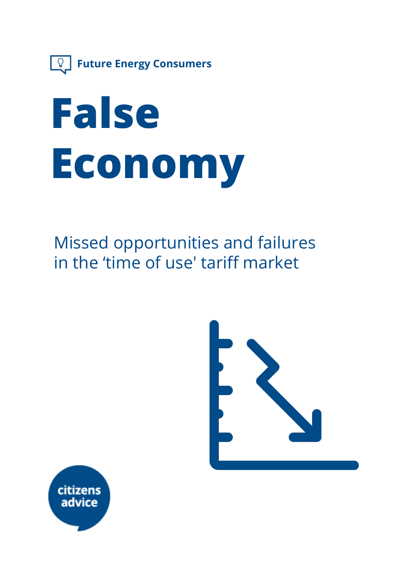

# **False Economy**

Missed opportunities and failures in the 'time of use' tariff market



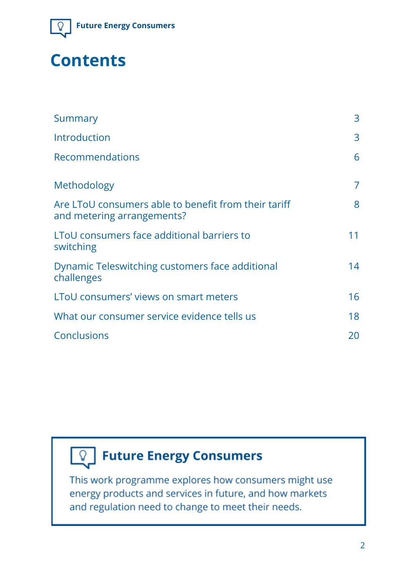

### **Contents**

| Summary                                                                            | 3  |
|------------------------------------------------------------------------------------|----|
| Introduction                                                                       | 3  |
| <b>Recommendations</b>                                                             | 6  |
| Methodology                                                                        | 7  |
| Are LToU consumers able to benefit from their tariff<br>and metering arrangements? | 8  |
| LToU consumers face additional barriers to<br>switching                            | 11 |
| Dynamic Teleswitching customers face additional<br>challenges                      | 14 |
| LToU consumers' views on smart meters                                              | 16 |
| What our consumer service evidence tells us                                        | 18 |
| Conclusions                                                                        | 20 |



### $\boxed{\mathbb{Q}}$  Future Energy Consumers

This work programme explores how consumers might use energy products and services in future, and how markets and regulation need to change to meet their needs.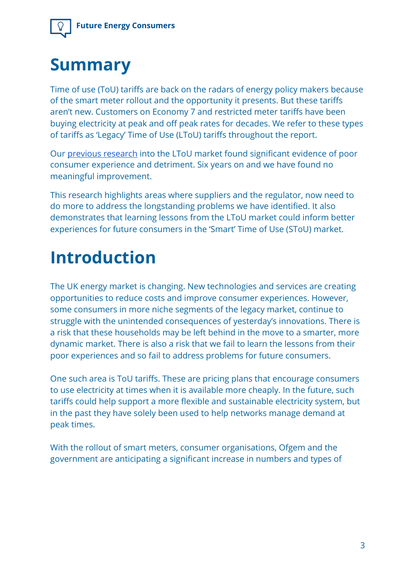### **Summary**

Time of use (ToU) tariffs are back on the radars of energy policy makers because of the smart meter rollout and the opportunity it presents. But these tariffs aren't new. Customers on Economy 7 and restricted meter tariffs have been buying electricity at peak and off peak rates for decades. We refer to these types of tariffs as 'Legacy' Time of Use (LToU) tariffs throughout the report.

Our [previous research](http://webarchive.nationalarchives.gov.uk/20140108141219/http://www.consumerfutures.org.uk/reports/from-devotees-to-the-disengaged-time-of-use-tariffs) into the LToU market found significant evidence of poor consumer experience and detriment. Six years on and we have found no meaningful improvement.

This research highlights areas where suppliers and the regulator, now need to do more to address the longstanding problems we have identified. It also demonstrates that learning lessons from the LToU market could inform better experiences for future consumers in the 'Smart' Time of Use (SToU) market.

# **Introduction**

The UK energy market is changing. New technologies and services are creating opportunities to reduce costs and improve consumer experiences. However, some consumers in more niche segments of the legacy market, continue to struggle with the unintended consequences of yesterday's innovations. There is a risk that these households may be left behind in the move to a smarter, more dynamic market. There is also a risk that we fail to learn the lessons from their poor experiences and so fail to address problems for future consumers.

One such area is ToU tariffs. These are pricing plans that encourage consumers to use electricity at times when it is available more cheaply. In the future, such tariffs could help support a more flexible and sustainable electricity system, but in the past they have solely been used to help networks manage demand at peak times.

With the rollout of smart meters, consumer organisations, Ofgem and the government are anticipating a significant increase in numbers and types of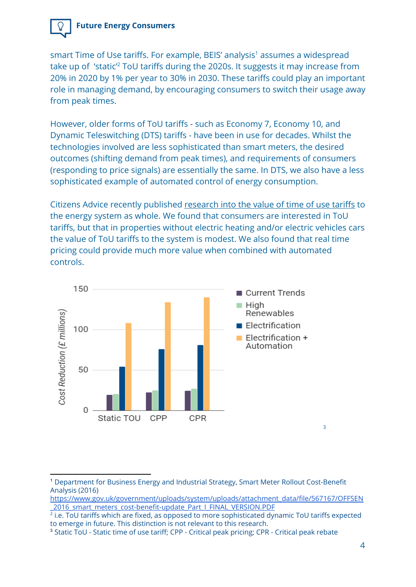

smart Time of Use tariffs. For example, BEIS' analysis<sup>1</sup> assumes a widespread take up of 'static<sup>'2</sup> ToU tariffs during the 2020s. It suggests it may increase from 20% in 2020 by 1% per year to 30% in 2030. These tariffs could play an important role in managing demand, by encouraging consumers to switch their usage away from peak times.

However, older forms of ToU tariffs - such as Economy 7, Economy 10, and Dynamic Teleswitching (DTS) tariffs - have been in use for decades. Whilst the technologies involved are less sophisticated than smart meters, the desired outcomes (shifting demand from peak times), and requirements of consumers (responding to price signals) are essentially the same. In DTS, we also have a less sophisticated example of automated control of energy consumption.

Citizens Advice recently published [research into the value of time of use tariffs](https://www.citizensadvice.org.uk/Global/CitizensAdvice/Energy/Citizens%20Advice%20summary%20of%20the%20value%20of%20time%20of%20use%20tariffs.pdf) to the energy system as whole. We found that consumers are interested in ToU tariffs, but that in properties without electric heating and/or electric vehicles cars the value of ToU tariffs to the system is modest. We also found that real time pricing could provide much more value when combined with automated controls.



<sup>1</sup> Department for Business Energy and Industrial Strategy, Smart Meter Rollout Cost-Benefit Analysis (2016)

[https://www.gov.uk/government/uploads/system/uploads/attachment\\_data/file/567167/OFFSEN](https://www.gov.uk/government/uploads/system/uploads/attachment_data/file/567167/OFFSEN_2016_smart_meters_cost-benefit-update_Part_I_FINAL_VERSION.PDF) 2016 smart\_meters\_cost-benefit-update\_Part\_I\_FINAL\_VERSION.PDF

 $^2$  i.e. ToU tariffs which are fixed, as opposed to more sophisticated dynamic ToU tariffs expected to emerge in future. This distinction is not relevant to this research.

<sup>&</sup>lt;sup>3</sup> Static ToU - Static time of use tariff; CPP - Critical peak pricing; CPR - Critical peak rebate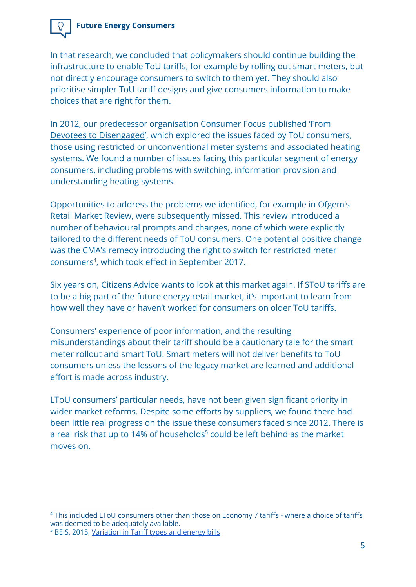

In that research, we concluded that policymakers should continue building the infrastructure to enable ToU tariffs, for example by rolling out smart meters, but not directly encourage consumers to switch to them yet. They should also prioritise simpler ToU tariff designs and give consumers information to make choices that are right for them.

In 2012, our predecessor organisation Consumer Focus published ['From](http://webarchive.nationalarchives.gov.uk/20140108141219/http://www.consumerfutures.org.uk/reports/from-devotees-to-the-disengaged-time-of-use-tariffs) [Devotees to Disengaged'](http://webarchive.nationalarchives.gov.uk/20140108141219/http://www.consumerfutures.org.uk/reports/from-devotees-to-the-disengaged-time-of-use-tariffs), which explored the issues faced by ToU consumers, those using restricted or unconventional meter systems and associated heating systems. We found a number of issues facing this particular segment of energy consumers, including problems with switching, information provision and understanding heating systems.

Opportunities to address the problems we identified, for example in Ofgem's Retail Market Review, were subsequently missed. This review introduced a number of behavioural prompts and changes, none of which were explicitly tailored to the different needs of ToU consumers. One potential positive change was the CMA's remedy introducing the right to switch for restricted meter consumers<sup>4</sup>, which took effect in September 2017.

Six years on, Citizens Advice wants to look at this market again. If SToU tariffs are to be a big part of the future energy retail market, it's important to learn from how well they have or haven't worked for consumers on older ToU tariffs.

Consumers' experience of poor information, and the resulting misunderstandings about their tariff should be a cautionary tale for the smart meter rollout and smart ToU. Smart meters will not deliver benefits to ToU consumers unless the lessons of the legacy market are learned and additional effort is made across industry.

LToU consumers' particular needs, have not been given significant priority in wider market reforms. Despite some efforts by suppliers, we found there had been little real progress on the issue these consumers faced since 2012. There is a real risk that up to 14% of households<sup>5</sup> could be left behind as the market moves on.

<sup>&</sup>lt;sup>4</sup> This included LToU consumers other than those on Economy 7 tariffs - where a choice of tariffs was deemed to be adequately available.

<sup>5</sup> BEIS, 2015, [Variation](https://assets.publishing.service.gov.uk/government/uploads/system/uploads/attachment_data/file/416052/Variation_in_tariff_types_and_energy_bills.pdf) in Tariff types and energy bills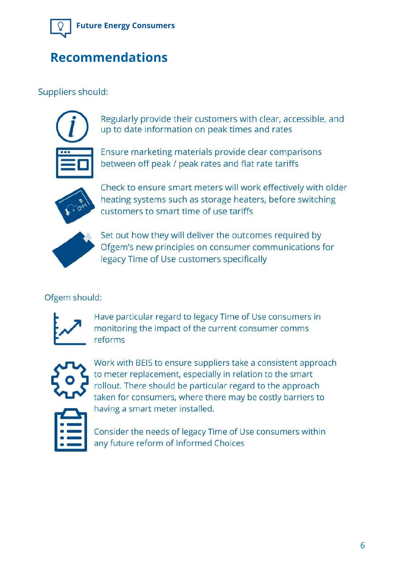

### **Recommendations**

### Suppliers should:

Regularly provide their customers with clear, accessible, and up to date information on peak times and rates

Ensure marketing materials provide clear comparisons between off peak / peak rates and flat rate tariffs



Check to ensure smart meters will work effectively with older heating systems such as storage heaters, before switching customers to smart time of use tariffs



Set out how they will deliver the outcomes required by Ofgem's new principles on consumer communications for legacy Time of Use customers specifically

#### Ofgem should:



Have particular regard to legacy Time of Use consumers in monitoring the impact of the current consumer comms reforms



Work with BEIS to ensure suppliers take a consistent approach to meter replacement, especially in relation to the smart rollout. There should be particular regard to the approach taken for consumers, where there may be costly barriers to having a smart meter installed.

Consider the needs of legacy Time of Use consumers within any future reform of Informed Choices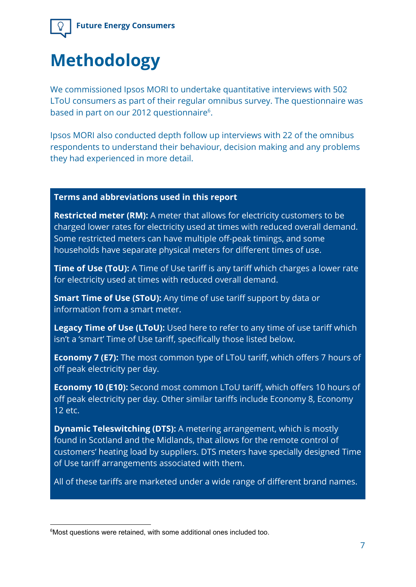

# **Methodology**

We commissioned Ipsos MORI to undertake quantitative interviews with 502 LToU consumers as part of their regular omnibus survey. The questionnaire was based in part on our 2012 questionnaire<sup>6</sup>.

Ipsos MORI also conducted depth follow up interviews with 22 of the omnibus respondents to understand their behaviour, decision making and any problems they had experienced in more detail.

#### **Terms and abbreviations used in this report**

**Restricted meter (RM):** A meter that allows for electricity customers to be charged lower rates for electricity used at times with reduced overall demand. Some restricted meters can have multiple off-peak timings, and some households have separate physical meters for different times of use.

**Time of Use (ToU):** A Time of Use tariff is any tariff which charges a lower rate for electricity used at times with reduced overall demand.

**Smart Time of Use (SToU):** Any time of use tariff support by data or information from a smart meter.

**Legacy Time of Use (LToU):** Used here to refer to any time of use tariff which isn't a 'smart' Time of Use tariff, specifically those listed below.

**Economy 7 (E7):** The most common type of LToU tariff, which offers 7 hours of off peak electricity per day.

**Economy 10 (E10):** Second most common LToU tariff, which offers 10 hours of off peak electricity per day. Other similar tariffs include Economy 8, Economy 12 etc.

**Dynamic Teleswitching (DTS):** A metering arrangement, which is mostly found in Scotland and the Midlands, that allows for the remote control of customers' heating load by suppliers. DTS meters have specially designed Time of Use tariff arrangements associated with them.

All of these tariffs are marketed under a wide range of different brand names.

<sup>&</sup>lt;sup>6</sup>Most questions were retained, with some additional ones included too.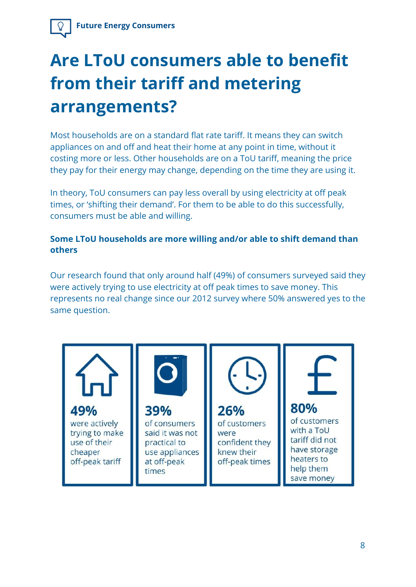# **Are LToU consumers able to benefit from their tariff and metering arrangements?**

Most households are on a standard flat rate tariff. It means they can switch appliances on and off and heat their home at any point in time, without it costing more or less. Other households are on a ToU tariff, meaning the price they pay for their energy may change, depending on the time they are using it.

In theory, ToU consumers can pay less overall by using electricity at off peak times, or 'shifting their demand'. For them to be able to do this successfully, consumers must be able and willing.

#### **Some LToU households are more willing and/or able to shift demand than others**

Our research found that only around half (49%) of consumers surveyed said they were actively trying to use electricity at off peak times to save money. This represents no real change since our 2012 survey where 50% answered yes to the same question.

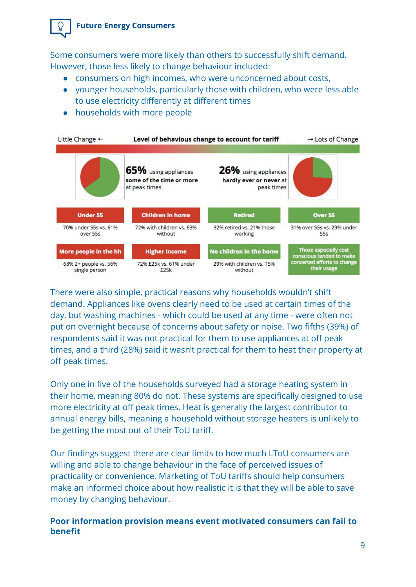

Some consumers were more likely than others to successfully shift demand. However, those less likely to change behaviour included:

- consumers on high incomes, who were unconcerned about costs,
- younger households, particularly those with children, who were less able to use electricity differently at different times
- households with more people

| Little Change $\leftarrow$             | Level of behavious change to account for tariff                   |                                                               | $\rightarrow$ Lots of Change                      |  |
|----------------------------------------|-------------------------------------------------------------------|---------------------------------------------------------------|---------------------------------------------------|--|
|                                        | 65% using appliances<br>some of the time or more<br>at peak times | 26% using appliances<br>hardly ever or never at<br>peak times |                                                   |  |
| <b>Under 55</b>                        | <b>Children in home</b>                                           | <b>Retired</b>                                                | Over 55                                           |  |
| 70% under 55s vs. 61%<br>over 55s      | 72% with children vs. 63%<br>without                              | 32% retired vs. 21% those<br>working                          | 31% over 55s vs. 29% under<br>55s                 |  |
| More people in the hh                  | <b>Higher income</b>                                              | No children in the home                                       | Those especially cost<br>conscious tended to make |  |
| 68% 2+ people vs. 56%<br>single person | 72% £25k vs. 61% under<br>£25k                                    | 29% with children vs. 15%<br>without                          | concerted efforts to change<br>their usage        |  |

There were also simple, practical reasons why households wouldn't shift demand. Appliances like ovens clearly need to be used at certain times of the day, but washing machines - which could be used at any time - were often not put on overnight because of concerns about safety or noise. Two fifths (39%) of respondents said it was not practical for them to use appliances at off peak times, and a third (28%) said it wasn't practical for them to heat their property at off peak times.

Only one in five of the households surveyed had a storage heating system in their home, meaning 80% do not. These systems are specifically designed to use more electricity at off peak times. Heat is generally the largest contributor to annual energy bills, meaning a household without storage heaters is unlikely to be getting the most out of their ToU tariff.

Our findings suggest there are clear limits to how much LToU consumers are willing and able to change behaviour in the face of perceived issues of practicality or convenience. Marketing of ToU tariffs should help consumers make an informed choice about how realistic it is that they will be able to save money by changing behaviour.

#### **Poor information provision means event motivated consumers can fail to benefit**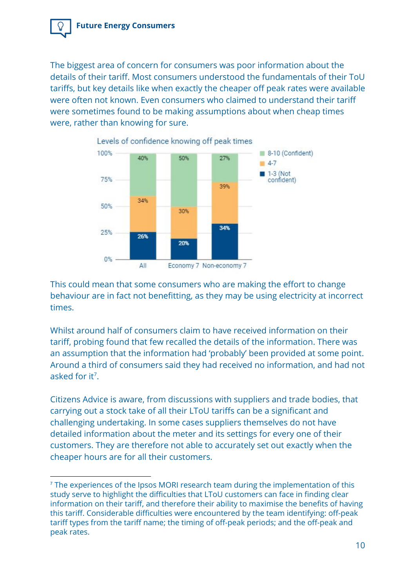

The biggest area of concern for consumers was poor information about the details of their tariff. Most consumers understood the fundamentals of their ToU tariffs, but key details like when exactly the cheaper off peak rates were available were often not known. Even consumers who claimed to understand their tariff were sometimes found to be making assumptions about when cheap times were, rather than knowing for sure.



This could mean that some consumers who are making the effort to change behaviour are in fact not benefitting, as they may be using electricity at incorrect times.

Whilst around half of consumers claim to have received information on their tariff, probing found that few recalled the details of the information. There was an assumption that the information had 'probably' been provided at some point. Around a third of consumers said they had received no information, and had not asked for it<sup>7</sup>.

Citizens Advice is aware, from discussions with suppliers and trade bodies, that carrying out a stock take of all their LToU tariffs can be a significant and challenging undertaking. In some cases suppliers themselves do not have detailed information about the meter and its settings for every one of their customers. They are therefore not able to accurately set out exactly when the cheaper hours are for all their customers.

<sup>&</sup>lt;sup>7</sup> The experiences of the Ipsos MORI research team during the implementation of this study serve to highlight the difficulties that LToU customers can face in finding clear information on their tariff, and therefore their ability to maximise the benefits of having this tariff. Considerable difficulties were encountered by the team identifying: off-peak tariff types from the tariff name; the timing of off-peak periods; and the off-peak and peak rates.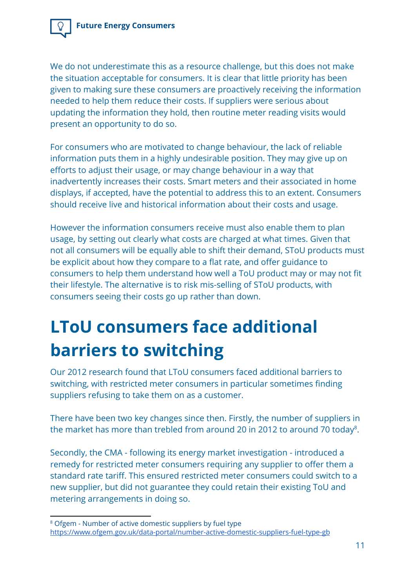We do not underestimate this as a resource challenge, but this does not make the situation acceptable for consumers. It is clear that little priority has been given to making sure these consumers are proactively receiving the information needed to help them reduce their costs. If suppliers were serious about updating the information they hold, then routine meter reading visits would present an opportunity to do so.

For consumers who are motivated to change behaviour, the lack of reliable information puts them in a highly undesirable position. They may give up on efforts to adjust their usage, or may change behaviour in a way that inadvertently increases their costs. Smart meters and their associated in home displays, if accepted, have the potential to address this to an extent. Consumers should receive live and historical information about their costs and usage.

However the information consumers receive must also enable them to plan usage, by setting out clearly what costs are charged at what times. Given that not all consumers will be equally able to shift their demand, SToU products must be explicit about how they compare to a flat rate, and offer guidance to consumers to help them understand how well a ToU product may or may not fit their lifestyle. The alternative is to risk mis-selling of SToU products, with consumers seeing their costs go up rather than down.

# **LToU consumers face additional barriers to switching**

Our 2012 research found that LToU consumers faced additional barriers to switching, with restricted meter consumers in particular sometimes finding suppliers refusing to take them on as a customer.

There have been two key changes since then. Firstly, the number of suppliers in the market has more than trebled from around 20 in 2012 to around 70 today $^8$ .

Secondly, the CMA - following its energy market investigation - introduced a remedy for restricted meter consumers requiring any supplier to offer them a standard rate tariff. This ensured restricted meter consumers could switch to a new supplier, but did not guarantee they could retain their existing ToU and metering arrangements in doing so.

<sup>8</sup> Ofgem - Number of active domestic suppliers by fuel type <https://www.ofgem.gov.uk/data-portal/number-active-domestic-suppliers-fuel-type-gb>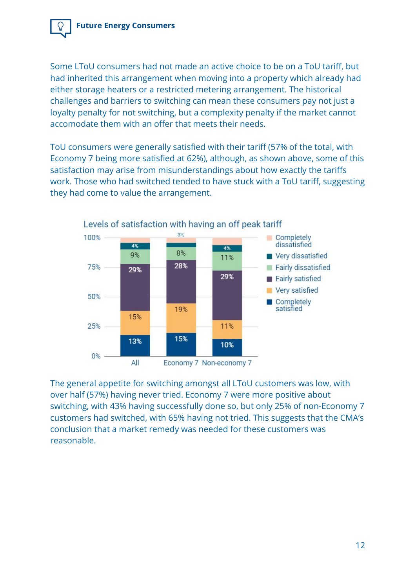

Some LToU consumers had not made an active choice to be on a ToU tariff, but had inherited this arrangement when moving into a property which already had either storage heaters or a restricted metering arrangement. The historical challenges and barriers to switching can mean these consumers pay not just a loyalty penalty for not switching, but a complexity penalty if the market cannot accomodate them with an offer that meets their needs.

ToU consumers were generally satisfied with their tariff (57% of the total, with Economy 7 being more satisfied at 62%), although, as shown above, some of this satisfaction may arise from misunderstandings about how exactly the tariffs work. Those who had switched tended to have stuck with a ToU tariff, suggesting they had come to value the arrangement.



The general appetite for switching amongst all LToU customers was low, with over half (57%) having never tried. Economy 7 were more positive about switching, with 43% having successfully done so, but only 25% of non-Economy 7 customers had switched, with 65% having not tried. This suggests that the CMA's conclusion that a market remedy was needed for these customers was reasonable.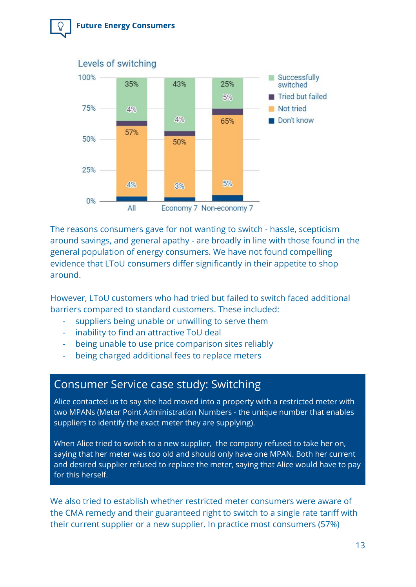

The reasons consumers gave for not wanting to switch - hassle, scepticism around savings, and general apathy - are broadly in line with those found in the general population of energy consumers. We have not found compelling evidence that LToU consumers differ significantly in their appetite to shop around.

However, LToU customers who had tried but failed to switch faced additional barriers compared to standard customers. These included:

- suppliers being unable or unwilling to serve them
- inability to find an attractive ToU deal
- being unable to use price comparison sites reliably
- being charged additional fees to replace meters

### Consumer Service case study: Switching

Alice contacted us to say she had moved into a property with a restricted meter with two MPANs (Meter Point Administration Numbers - the unique number that enables suppliers to identify the exact meter they are supplying).

When Alice tried to switch to a new supplier, the company refused to take her on, saying that her meter was too old and should only have one MPAN. Both her current and desired supplier refused to replace the meter, saying that Alice would have to pay for this herself.

We also tried to establish whether restricted meter consumers were aware of the CMA remedy and their guaranteed right to switch to a single rate tariff with their current supplier or a new supplier. In practice most consumers (57%)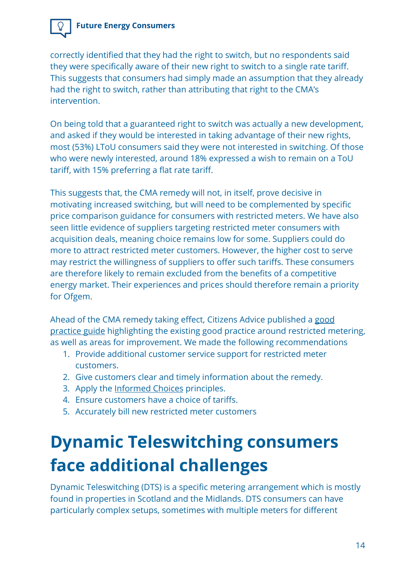

On being told that a guaranteed right to switch was actually a new development, and asked if they would be interested in taking advantage of their new rights, most (53%) LToU consumers said they were not interested in switching. Of those who were newly interested, around 18% expressed a wish to remain on a ToU tariff, with 15% preferring a flat rate tariff.

This suggests that, the CMA remedy will not, in itself, prove decisive in motivating increased switching, but will need to be complemented by specific price comparison guidance for consumers with restricted meters. We have also seen little evidence of suppliers targeting restricted meter consumers with acquisition deals, meaning choice remains low for some. Suppliers could do more to attract restricted meter customers. However, the higher cost to serve may restrict the willingness of suppliers to offer such tariffs. These consumers are therefore likely to remain excluded from the benefits of a competitive energy market. Their experiences and prices should therefore remain a priority for Ofgem.

Ahead of the CMA remedy taking effect, Citizens Advice published a [good](https://www.citizensadvice.org.uk/about-us/policy/policy-research-topics/energy-policy-research-and-consultation-responses/energy-policy-research/good-practice-guide-supporting-customers-with-restricted-meters/) [practice guide](https://www.citizensadvice.org.uk/about-us/policy/policy-research-topics/energy-policy-research-and-consultation-responses/energy-policy-research/good-practice-guide-supporting-customers-with-restricted-meters/) highlighting the existing good practice around restricted metering, as well as areas for improvement. We made the following recommendations

- 1. Provide additional customer service support for restricted meter customers.
- 2. Give customers clear and timely information about the remedy.
- 3. Apply the **Informed Choices** principles.
- 4. Ensure customers have a choice of tariffs.
- 5. Accurately bill new restricted meter customers

# **Dynamic Teleswitching consumers face additional challenges**

Dynamic Teleswitching (DTS) is a specific metering arrangement which is mostly found in properties in Scotland and the Midlands. DTS consumers can have particularly complex setups, sometimes with multiple meters for different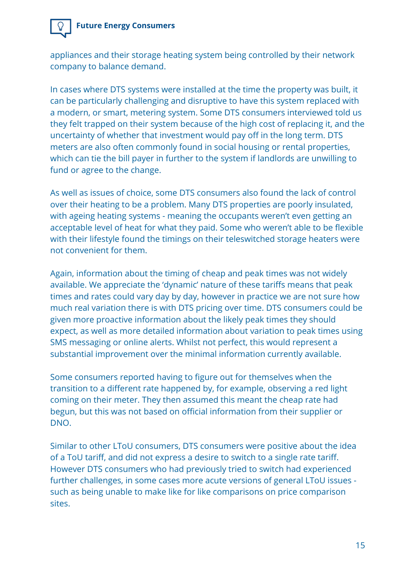

appliances and their storage heating system being controlled by their network company to balance demand.

In cases where DTS systems were installed at the time the property was built, it can be particularly challenging and disruptive to have this system replaced with a modern, or smart, metering system. Some DTS consumers interviewed told us they felt trapped on their system because of the high cost of replacing it, and the uncertainty of whether that investment would pay off in the long term. DTS meters are also often commonly found in social housing or rental properties, which can tie the bill payer in further to the system if landlords are unwilling to fund or agree to the change.

As well as issues of choice, some DTS consumers also found the lack of control over their heating to be a problem. Many DTS properties are poorly insulated, with ageing heating systems - meaning the occupants weren't even getting an acceptable level of heat for what they paid. Some who weren't able to be flexible with their lifestyle found the timings on their teleswitched storage heaters were not convenient for them.

Again, information about the timing of cheap and peak times was not widely available. We appreciate the 'dynamic' nature of these tariffs means that peak times and rates could vary day by day, however in practice we are not sure how much real variation there is with DTS pricing over time. DTS consumers could be given more proactive information about the likely peak times they should expect, as well as more detailed information about variation to peak times using SMS messaging or online alerts. Whilst not perfect, this would represent a substantial improvement over the minimal information currently available.

Some consumers reported having to figure out for themselves when the transition to a different rate happened by, for example, observing a red light coming on their meter. They then assumed this meant the cheap rate had begun, but this was not based on official information from their supplier or DNO.

Similar to other LToU consumers, DTS consumers were positive about the idea of a ToU tariff, and did not express a desire to switch to a single rate tariff. However DTS consumers who had previously tried to switch had experienced further challenges, in some cases more acute versions of general LToU issues such as being unable to make like for like comparisons on price comparison sites.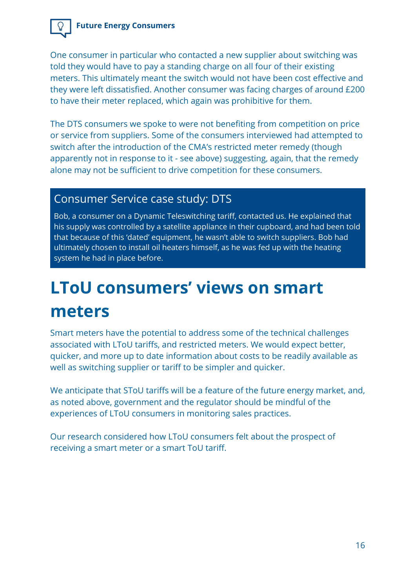One consumer in particular who contacted a new supplier about switching was told they would have to pay a standing charge on all four of their existing meters. This ultimately meant the switch would not have been cost effective and they were left dissatisfied. Another consumer was facing charges of around £200 to have their meter replaced, which again was prohibitive for them.

The DTS consumers we spoke to were not benefiting from competition on price or service from suppliers. Some of the consumers interviewed had attempted to switch after the introduction of the CMA's restricted meter remedy (though apparently not in response to it - see above) suggesting, again, that the remedy alone may not be sufficient to drive competition for these consumers.

### Consumer Service case study: DTS

Bob, a consumer on a Dynamic Teleswitching tariff, contacted us. He explained that his supply was controlled by a satellite appliance in their cupboard, and had been told that because of this 'dated' equipment, he wasn't able to switch suppliers. Bob had ultimately chosen to install oil heaters himself, as he was fed up with the heating system he had in place before.

## **LToU consumers' views on smart meters**

Smart meters have the potential to address some of the technical challenges associated with LToU tariffs, and restricted meters. We would expect better, quicker, and more up to date information about costs to be readily available as well as switching supplier or tariff to be simpler and quicker.

We anticipate that SToU tariffs will be a feature of the future energy market, and, as noted above, government and the regulator should be mindful of the experiences of LToU consumers in monitoring sales practices.

Our research considered how LToU consumers felt about the prospect of receiving a smart meter or a smart ToU tariff.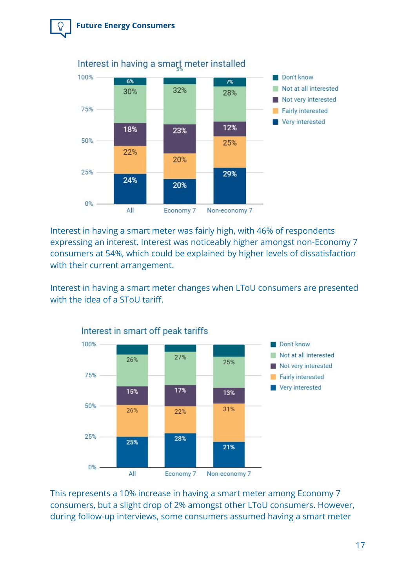



Interest in having a smart meter was fairly high, with 46% of respondents expressing an interest. Interest was noticeably higher amongst non-Economy 7 consumers at 54%, which could be explained by higher levels of dissatisfaction with their current arrangement.

Interest in having a smart meter changes when LToU consumers are presented with the idea of a SToU tariff.



This represents a 10% increase in having a smart meter among Economy 7 consumers, but a slight drop of 2% amongst other LToU consumers. However, during follow-up interviews, some consumers assumed having a smart meter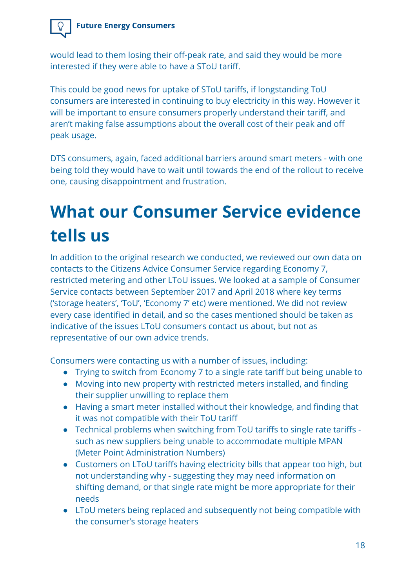would lead to them losing their off-peak rate, and said they would be more interested if they were able to have a SToU tariff.

This could be good news for uptake of SToU tariffs, if longstanding ToU consumers are interested in continuing to buy electricity in this way. However it will be important to ensure consumers properly understand their tariff, and aren't making false assumptions about the overall cost of their peak and off peak usage.

DTS consumers, again, faced additional barriers around smart meters - with one being told they would have to wait until towards the end of the rollout to receive one, causing disappointment and frustration.

# **What our Consumer Service evidence tells us**

In addition to the original research we conducted, we reviewed our own data on contacts to the Citizens Advice Consumer Service regarding Economy 7, restricted metering and other LToU issues. We looked at a sample of Consumer Service contacts between September 2017 and April 2018 where key terms ('storage heaters', 'ToU', 'Economy 7' etc) were mentioned. We did not review every case identified in detail, and so the cases mentioned should be taken as indicative of the issues LToU consumers contact us about, but not as representative of our own advice trends.

Consumers were contacting us with a number of issues, including:

- Trying to switch from Economy 7 to a single rate tariff but being unable to
- Moving into new property with restricted meters installed, and finding their supplier unwilling to replace them
- Having a smart meter installed without their knowledge, and finding that it was not compatible with their ToU tariff
- Technical problems when switching from ToU tariffs to single rate tariffs such as new suppliers being unable to accommodate multiple MPAN (Meter Point Administration Numbers)
- Customers on LToU tariffs having electricity bills that appear too high, but not understanding why - suggesting they may need information on shifting demand, or that single rate might be more appropriate for their needs
- LToU meters being replaced and subsequently not being compatible with the consumer's storage heaters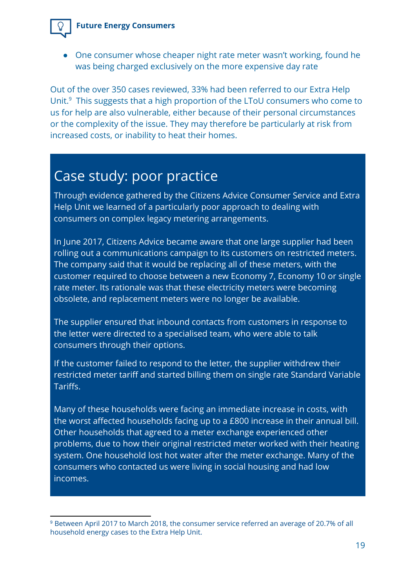

• One consumer whose cheaper night rate meter wasn't working, found he was being charged exclusively on the more expensive day rate

Out of the over 350 cases reviewed, 33% had been referred to our Extra Help Unit. $9$  This suggests that a high proportion of the LToU consumers who come to us for help are also vulnerable, either because of their personal circumstances or the complexity of the issue. They may therefore be particularly at risk from increased costs, or inability to heat their homes.

### Case study: poor practice

Through evidence gathered by the Citizens Advice Consumer Service and Extra Help Unit we learned of a particularly poor approach to dealing with consumers on complex legacy metering arrangements.

In June 2017, Citizens Advice became aware that one large supplier had been rolling out a communications campaign to its customers on restricted meters. The company said that it would be replacing all of these meters, with the customer required to choose between a new Economy 7, Economy 10 or single rate meter. Its rationale was that these electricity meters were becoming obsolete, and replacement meters were no longer be available.

The supplier ensured that inbound contacts from customers in response to the letter were directed to a specialised team, who were able to talk consumers through their options.

If the customer failed to respond to the letter, the supplier withdrew their restricted meter tariff and started billing them on single rate Standard Variable Tariffs.

Many of these households were facing an immediate increase in costs, with the worst affected households facing up to a £800 increase in their annual bill. Other households that agreed to a meter exchange experienced other problems, due to how their original restricted meter worked with their heating system. One household lost hot water after the meter exchange. Many of the consumers who contacted us were living in social housing and had low incomes.

<sup>9</sup> Between April 2017 to March 2018, the consumer service referred an average of 20.7% of all household energy cases to the Extra Help Unit.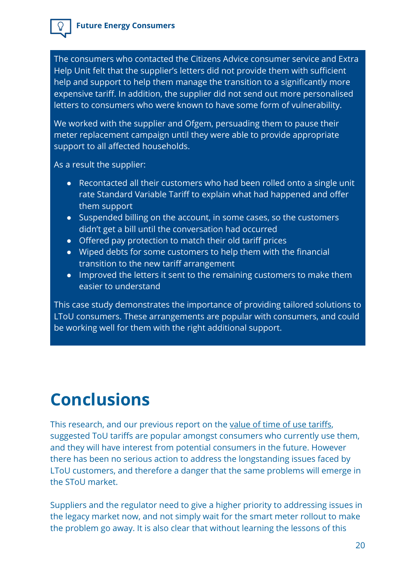

The consumers who contacted the Citizens Advice consumer service and Extra Help Unit felt that the supplier's letters did not provide them with sufficient help and support to help them manage the transition to a significantly more expensive tariff. In addition, the supplier did not send out more personalised letters to consumers who were known to have some form of vulnerability.

We worked with the supplier and Ofgem, persuading them to pause their meter replacement campaign until they were able to provide appropriate support to all affected households.

As a result the supplier:

- Recontacted all their customers who had been rolled onto a single unit rate Standard Variable Tariff to explain what had happened and offer them support
- Suspended billing on the account, in some cases, so the customers didn't get a bill until the conversation had occurred
- Offered pay protection to match their old tariff prices
- Wiped debts for some customers to help them with the financial transition to the new tariff arrangement
- Improved the letters it sent to the remaining customers to make them easier to understand

This case study demonstrates the importance of providing tailored solutions to LToU consumers. These arrangements are popular with consumers, and could be working well for them with the right additional support.

### **Conclusions**

This research, and our previous report on the [value of time of use tariffs](https://www.citizensadvice.org.uk/Global/CitizensAdvice/Energy/Citizens%20Advice%20summary%20of%20the%20value%20of%20time%20of%20use%20tariffs.pdf), suggested ToU tariffs are popular amongst consumers who currently use them, and they will have interest from potential consumers in the future. However there has been no serious action to address the longstanding issues faced by LToU customers, and therefore a danger that the same problems will emerge in the SToU market.

Suppliers and the regulator need to give a higher priority to addressing issues in the legacy market now, and not simply wait for the smart meter rollout to make the problem go away. It is also clear that without learning the lessons of this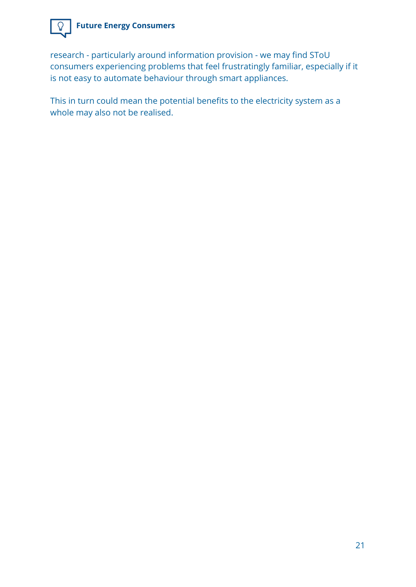

research - particularly around information provision - we may find SToU consumers experiencing problems that feel frustratingly familiar, especially if it is not easy to automate behaviour through smart appliances.

This in turn could mean the potential benefits to the electricity system as a whole may also not be realised.